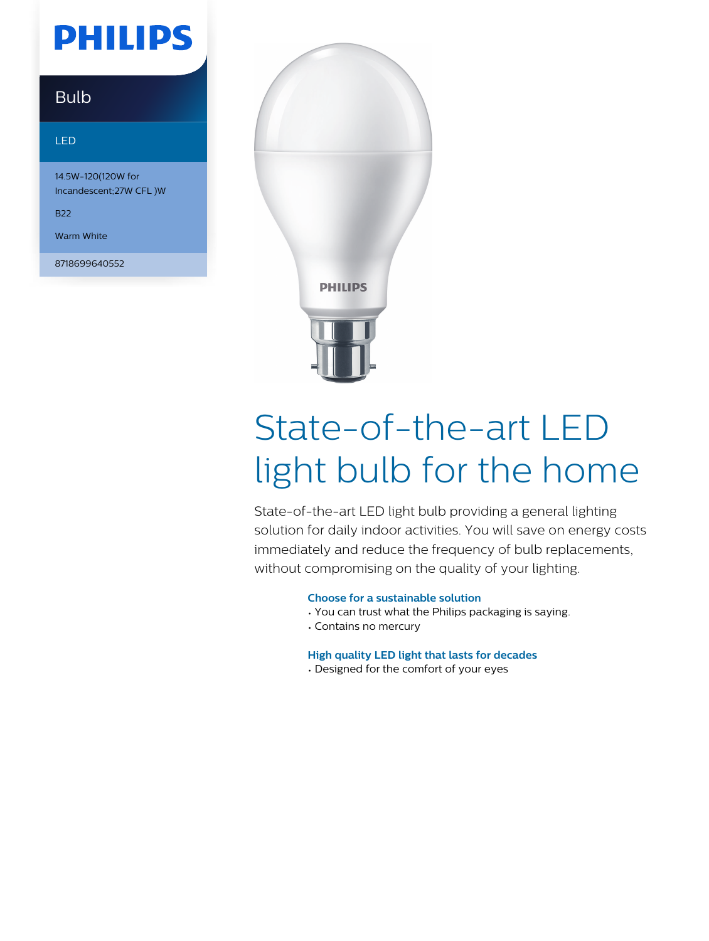# **PHILIPS**

### Bulb

#### LED

14.5W-120(120W for Incandescent;27W CFL )W

B22

Warm White

8718699640552



# State-of-the-art LED light bulb for the home

State-of-the-art LED light bulb providing a general lighting solution for daily indoor activities. You will save on energy costs immediately and reduce the frequency of bulb replacements, without compromising on the quality of your lighting.

#### **Choose for a sustainable solution**

- You can trust what the Philips packaging is saying.
- Contains no mercury

#### **High quality LED light that lasts for decades**

• Designed for the comfort of your eyes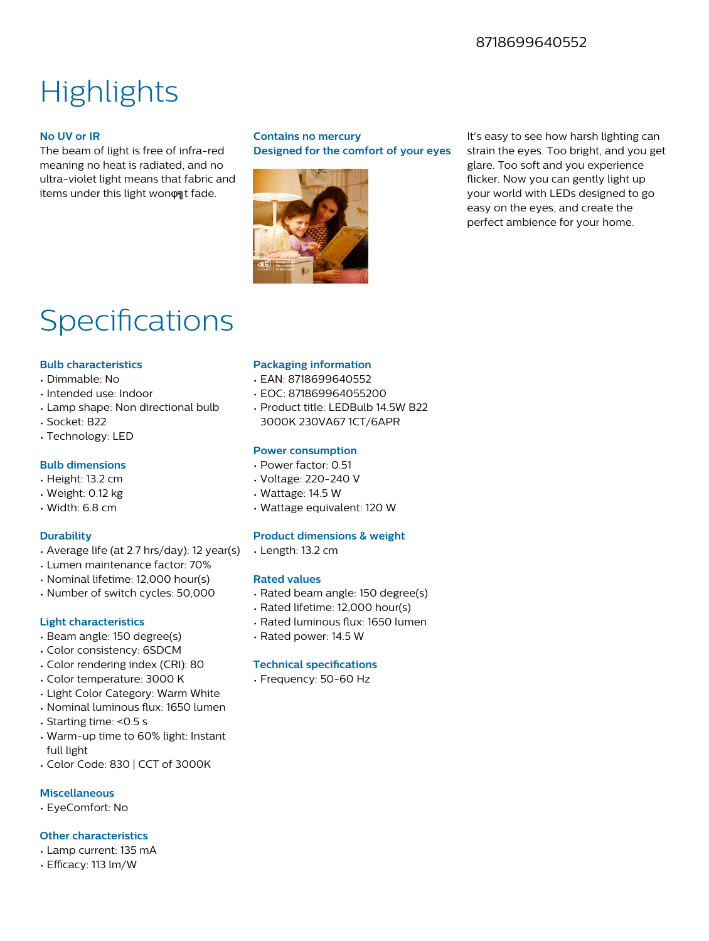### 8718699640552

## **Highlights**

#### **No UV or IR**

The beam of light is free of infra-red meaning no heat is radiated, and no ultra-violet light means that fabric and items under this light won on t fade.

#### **Contains no mercury Designed for the comfort of your eyes**



It's easy to see how harsh lighting can strain the eyes. Too bright, and you get glare. Too soft and you experience flicker. Now you can gently light up your world with LEDs designed to go easy on the eyes, and create the perfect ambience for your home.

## Specifications

#### **Bulb characteristics**

- Dimmable: No
- Intended use: Indoor
- Lamp shape: Non directional bulb
- Socket: B22
- Technology: LED

#### **Bulb dimensions**

- Height: 13.2 cm
- Weight: 0.12 kg
- Width: 6.8 cm

#### **Durability**

- Average life (at 2.7 hrs/day): 12 year(s)
- Lumen maintenance factor: 70%
- Nominal lifetime: 12,000 hour(s)
- Number of switch cycles: 50,000

#### **Light characteristics**

- Beam angle: 150 degree(s)
- Color consistency: 6SDCM
- Color rendering index (CRI): 80
- Color temperature: 3000 K
- Light Color Category: Warm White
- Nominal luminous flux: 1650 lumen
- Starting time: <0.5 s
- Warm-up time to 60% light: Instant full light
- Color Code: 830 | CCT of 3000K

#### **Miscellaneous**

• EyeComfort: No

#### **Other characteristics**

- Lamp current: 135 mA
- Efficacy: 113 lm/W

#### **Packaging information**

- EAN: 8718699640552
- EOC: 871869964055200
- Product title: LEDBulb 14.5W B22 3000K 230VA67 1CT/6APR

#### **Power consumption**

- Power factor: 0.51
- Voltage: 220-240 V
- Wattage: 14.5 W
- Wattage equivalent: 120 W

#### **Product dimensions & weight**

• Length: 13.2 cm

#### **Rated values**

- Rated beam angle: 150 degree(s)
- Rated lifetime: 12,000 hour(s)
- Rated luminous flux: 1650 lumen
- Rated power: 14.5 W

#### **Technical specifications**

• Frequency: 50-60 Hz